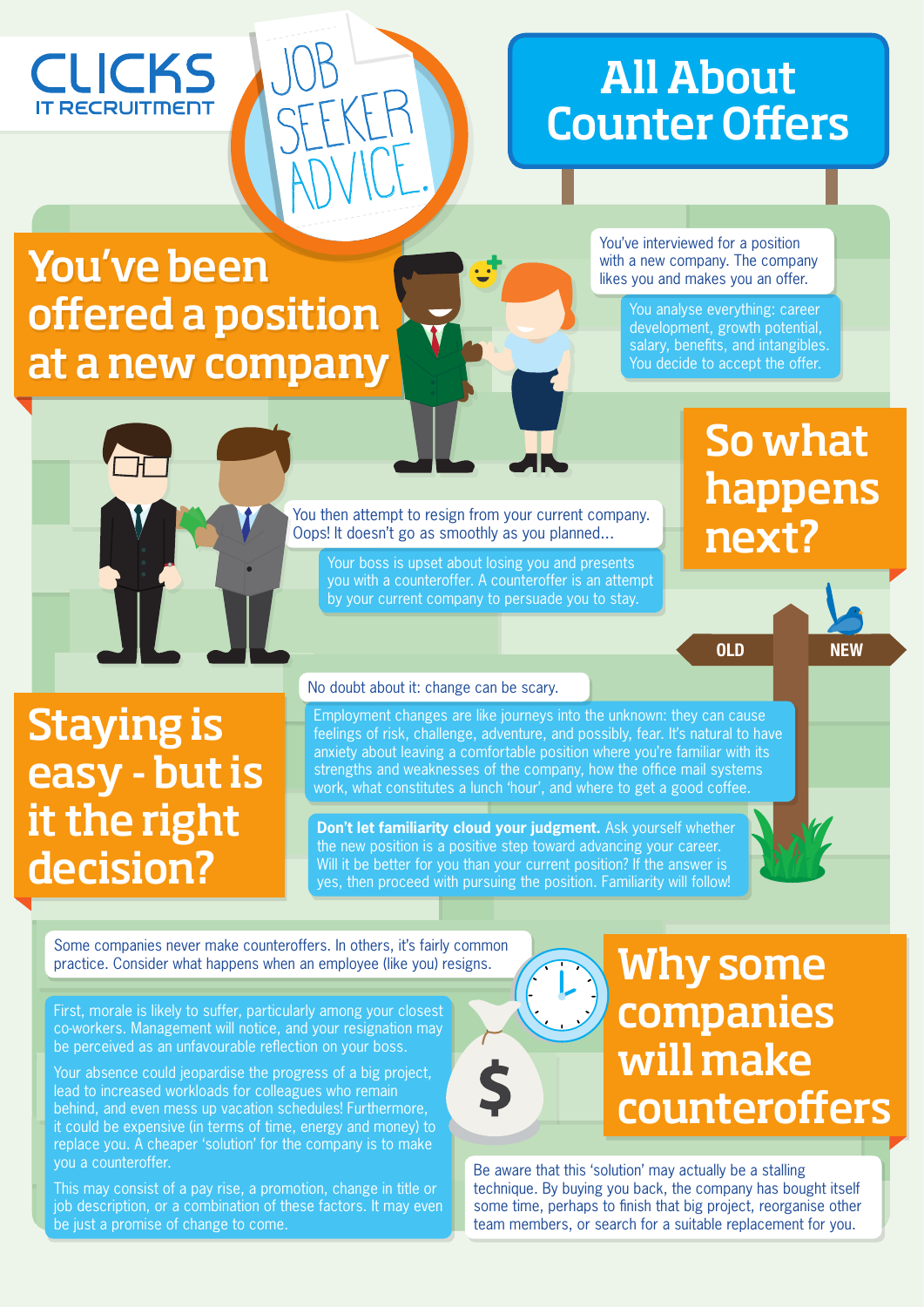### **CLICKS RECRUITMEN**

## All About Counter Offers

## You've been offered a position at a new company

Job

SEEKER

ADVICE.

You've interviewed for a position with a new company. The company likes you and makes you an offer.

> You analyse everything: career development, growth potential, salary, benefits, and intangibles. You decide to accept the offer.

## So what happens next?

OLD NEW

You then attempt to resign from your current company. Oops! It doesn't go as smoothly as you planned...

Your boss is upset about losing you and presents you with a counteroffer. A counteroffer is an attempt by your current company to persuade you to stay.

## Staying is easy - but is it the right decision?

### No doubt about it: change can be scary.

Employment changes are like journeys into the unknown: they can cause feelings of risk, challenge, adventure, and possibly, fear. It's natural to have anxiety about leaving a comfortable position where you're familiar with its strengths and weaknesses of the company, how the office mail systems work, what constitutes a lunch 'hour', and where to get a good coffee.

**Don't let familiarity cloud your judgment.** Ask yourself whether the new position is a positive step toward advancing your career. Will it be better for you than your current position? If the answer is yes, then proceed with pursuing the position. Familiarity will follow!

Some companies never make counteroffers. In others, it's fairly common practice. Consider what happens when an employee (like you) resigns.

First, morale is likely to suffer, particularly among your closest co-workers. Management will notice, and your resignation may be perceived as an unfavourable reflection on your boss.

Your absence could jeopardise the progress of a big project, lead to increased workloads for colleagues who remain behind, and even mess up vacation schedules! Furthermore, it could be expensive (in terms of time, energy and money) to replace you. A cheaper 'solution' for the company is to make you a counteroffer.

This may consist of a pay rise, a promotion, change in title or job description, or a combination of these factors. It may even be just a promise of change to come.

## companies will make counteroffers

Be aware that this 'solution' may actually be a stalling technique. By buying you back, the company has bought itself some time, perhaps to finish that big project, reorganise other team members, or search for a suitable replacement for you.